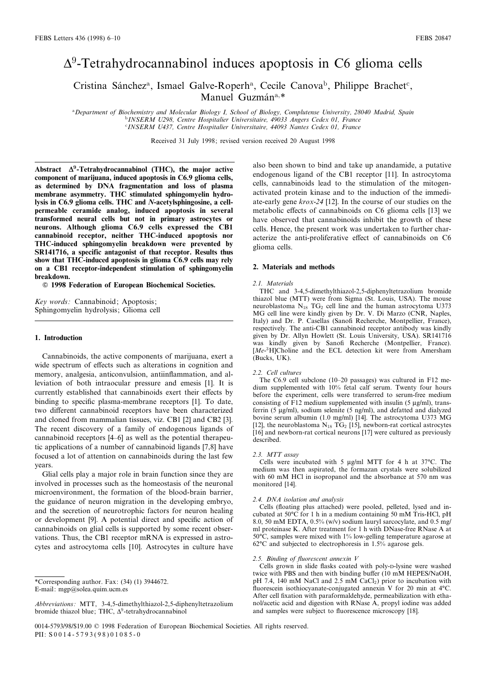# $\Delta^9$ -Tetrahydrocannabinol induces apoptosis in C6 glioma cells

Cristina Sánchez<sup>a</sup>, Ismael Galve-Roperh<sup>a</sup>, Cecile Canova<sup>b</sup>, Philippe Brachet<sup>c</sup>, Manuel Guzmán<sup>a,\*</sup>

aDepartment of Biochemistry and Molecular Biology I, School of Biology, Complutense University, 28040 Madrid, Spain b INSERM U298, Centre Hospitalier Universitaire, 49033 Angers Cedex 01, France c INSERM U437, Centre Hospitalier Universitaire, 44093 Nantes Cedex 01, France

Received 31 July 1998; revised version received 20 August 1998

Abstract  $\Delta^9$ -Tetrahydrocannabinol (THC), the major active component of marijuana, induced apoptosis in C6.9 glioma cells, as determined by DNA fragmentation and loss of plasma membrane asymmetry. THC stimulated sphingomyelin hydrolysis in C6.9 glioma cells. THC and N-acetylsphingosine, a cellpermeable ceramide analog, induced apoptosis in several transformed neural cells but not in primary astrocytes or neurons. Although glioma C6.9 cells expressed the CB1 cannabinoid receptor, neither THC-induced apoptosis nor THC-induced sphingomyelin breakdown were prevented by SR141716, a specific antagonist of that receptor. Results thus show that THC-induced apoptosis in glioma C6.9 cells may rely on a CB1 receptor-independent stimulation of sphingomyelin breakdown.

 $©$  1998 Federation of European Biochemical Societies.

Key words: Cannabinoid; Apoptosis; Sphingomyelin hydrolysis; Glioma cell

#### 1. Introduction

Cannabinoids, the active components of marijuana, exert a wide spectrum of effects such as alterations in cognition and memory, analgesia, anticonvulsion, antiinflammation, and alleviation of both intraocular pressure and emesis [1]. It is currently established that cannabinoids exert their effects by binding to specific plasma-membrane receptors [1]. To date, two different cannabinoid receptors have been characterized and cloned from mammalian tissues, viz. CB1 [2] and CB2 [3]. The recent discovery of a family of endogenous ligands of cannabinoid receptors [4^6] as well as the potential therapeutic applications of a number of cannabinoid ligands [7,8] have focused a lot of attention on cannabinoids during the last few years.

Glial cells play a major role in brain function since they are involved in processes such as the homeostasis of the neuronal microenvironment, the formation of the blood-brain barrier, the guidance of neuron migration in the developing embryo, and the secretion of neurotrophic factors for neuron healing or development [9]. A potential direct and specific action of cannabinoids on glial cells is supported by some recent observations. Thus, the CB1 receptor mRNA is expressed in astrocytes and astrocytoma cells [10]. Astrocytes in culture have

also been shown to bind and take up anandamide, a putative endogenous ligand of the CB1 receptor [11]. In astrocytoma cells, cannabinoids lead to the stimulation of the mitogenactivated protein kinase and to the induction of the immediate-early gene krox-24 [12]. In the course of our studies on the metabolic effects of cannabinoids on C6 glioma cells [13] we have observed that cannabinoids inhibit the growth of these cells. Hence, the present work was undertaken to further characterize the anti-proliferative effect of cannabinoids on C6 glioma cells.

#### 2. Materials and methods

#### 2.1. Materials

THC and 3-4,5-dimethylthiazol-2,5-diphenyltetrazolium bromide thiazol blue (MTT) were from Sigma (St. Louis, USA). The mouse neuroblastoma  $N_{18}$  TG<sub>2</sub> cell line and the human astrocytoma U373 MG cell line were kindly given by Dr. V. Di Marzo (CNR, Naples, Italy) and Dr. P. Casellas (Sanofi Recherche, Montpellier, France), respectively. The anti-CB1 cannabinoid receptor antibody was kindly given by Dr. Allyn Howlett (St. Louis University, USA). SR141716 was kindly given by Sanofi Recherche (Montpellier, France). [Me-<sup>3</sup>H]Choline and the ECL detection kit were from Amersham (Bucks, UK).

#### 2.2. Cell cultures

The C6.9 cell subclone (10-20 passages) was cultured in F12 medium supplemented with 10% fetal calf serum. Twenty four hours before the experiment, cells were transferred to serum-free medium consisting of  $\hat{F}$ 12 medium supplemented with insulin (5  $\mu$ g/ml), transferrin  $(5 \mu g/ml)$ , sodium selenite  $(5 \mu g/ml)$ , and defatted and dialyzed bovine serum albumin (1.0 mg/ml) [14]. The astrocytoma U373 MG [12], the neuroblastoma  $N_{18}$  TG<sub>2</sub> [15], newborn-rat cortical astrocytes [16] and newborn-rat cortical neurons [17] were cultured as previously described.

#### 2.3. MTT assay

Cells were incubated with 5  $\mu$ g/ml MTT for 4 h at 37°C. The medium was then aspirated, the formazan crystals were solubilized with 60 mM HCl in isopropanol and the absorbance at 570 nm was monitored [14].

#### 2.4. DNA isolation and analysis

Cells (floating plus attached) were pooled, pelleted, lysed and incubated at 50°C for 1 h in a medium containing 50 mM Tris-HCl, pH 8.0, 50 mM EDTA, 0.5% (w/v) sodium lauryl sarcocylate, and 0.5 mg/ ml proteinase K. After treatment for 1 h with DNase-free RNase A at  $50^{\circ}\text{C}$ , samples were mixed with 1% low-gelling temperature agarose at  $62^{\circ}$ C and subjected to electrophoresis in 1.5% agarose gels.

#### 2.5. Binding of fluorescent annexin  $V$

Cells grown in slide flasks coated with poly-D-lysine were washed twice with PBS and then with binding buffer (10 mM HEPES/NaOH, pH 7.4, 140 mM NaCl and 2.5 mM CaCl<sub>2</sub>) prior to incubation with fluorescein isothiocyanate-conjugated annexin V for 20 min at  $4^{\circ}$ C. After cell fixation with paraformaldehyde, permeabilization with ethanol/acetic acid and digestion with RNase A, propyl iodine was added and samples were subject to fluorescence microscopy [18].

<sup>\*</sup>Corresponding author. Fax: (34) (1) 3944672. E-mail: mgp@solea.quim.ucm.es

Abbreviations: MTT, 3-4,5-dimethylthiazol-2,5-diphenyltetrazolium bromide thiazol blue; THC,  $\Delta^9$ -tetrahydrocannabinol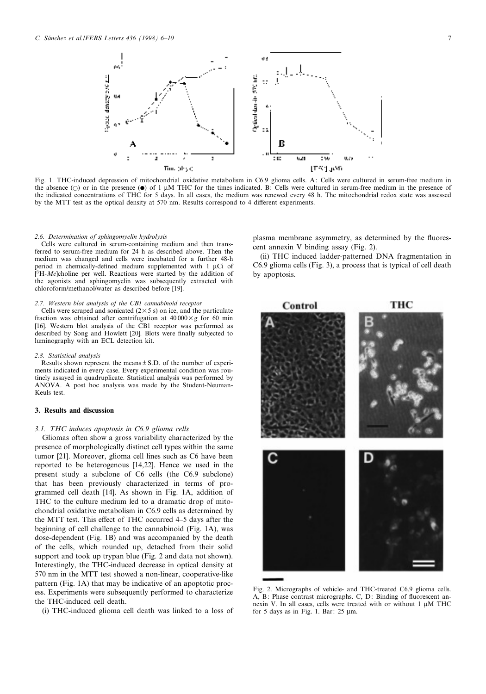

Fig. 1. THC-induced depression of mitochondrial oxidative metabolism in C6.9 glioma cells. A: Cells were cultured in serum-free medium in the absence  $(\circ)$  or in the presence  $(\bullet)$  of 1  $\mu$ M THC for the times indicated. B: Cells were cultured in serum-free medium in the presence of the indicated concentrations of THC for 5 days. In all cases, the medium was renewed every 48 h. The mitochondrial redox state was assessed by the MTT test as the optical density at 570 nm. Results correspond to 4 different experiments.

#### 2.6. Determination of sphingomyelin hydrolysis

Cells were cultured in serum-containing medium and then transferred to serum-free medium for 24 h as described above. Then the medium was changed and cells were incubated for a further 48-h period in chemically-defined medium supplemented with  $1 \mu Ci$  of  $\hat{C}^3H-Me$ ]choline per well. Reactions were started by the addition of the agonists and sphingomyelin was subsequently extracted with chloroform/methanol/water as described before [19].

#### 2.7. Western blot analysis of the CB1 cannabinoid receptor

Cells were scraped and sonicated  $(2 \times 5 \text{ s})$  on ice, and the particulate fraction was obtained after centrifugation at  $40000 \times g$  for 60 min [16]. Western blot analysis of the CB1 receptor was performed as described by Song and Howlett [20]. Blots were finally subjected to luminography with an ECL detection kit.

#### 2.8. Statistical analysis

Results shown represent the means  $\pm$  S.D. of the number of experiments indicated in every case. Every experimental condition was routinely assayed in quadruplicate. Statistical analysis was performed by ANOVA. A post hoc analysis was made by the Student-Neuman-Keuls test.

#### 3. Results and discussion

#### 3.1. THC induces apoptosis in C6.9 glioma cells

Gliomas often show a gross variability characterized by the presence of morphologically distinct cell types within the same tumor [21]. Moreover, glioma cell lines such as C6 have been reported to be heterogenous [14,22]. Hence we used in the present study a subclone of C6 cells (the C6.9 subclone) that has been previously characterized in terms of programmed cell death [14]. As shown in Fig. 1A, addition of THC to the culture medium led to a dramatic drop of mitochondrial oxidative metabolism in C6.9 cells as determined by the MTT test. This effect of THC occurred  $4-5$  days after the beginning of cell challenge to the cannabinoid (Fig. 1A), was dose-dependent (Fig. 1B) and was accompanied by the death of the cells, which rounded up, detached from their solid support and took up trypan blue (Fig. 2 and data not shown). Interestingly, the THC-induced decrease in optical density at 570 nm in the MTT test showed a non-linear, cooperative-like pattern (Fig. 1A) that may be indicative of an apoptotic process. Experiments were subsequently performed to characterize the THC-induced cell death.

(i) THC-induced glioma cell death was linked to a loss of

plasma membrane asymmetry, as determined by the fluorescent annexin V binding assay (Fig. 2).

(ii) THC induced ladder-patterned DNA fragmentation in C6.9 glioma cells (Fig. 3), a process that is typical of cell death by apoptosis.



Fig. 2. Micrographs of vehicle- and THC-treated C6.9 glioma cells. A, B: Phase contrast micrographs. C, D: Binding of fluorescent annexin V. In all cases, cells were treated with or without  $1 \mu M$  THC for 5 days as in Fig. 1. Bar:  $25 \mu m$ .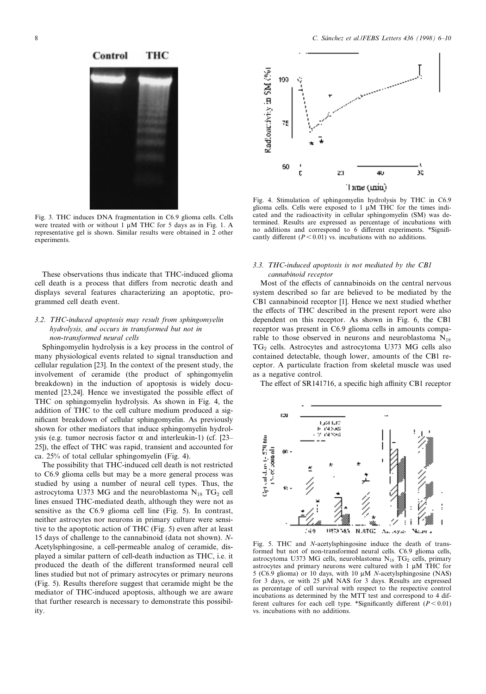## тнс



Fig. 3. THC induces DNA fragmentation in C6.9 glioma cells. Cells were treated with or without  $1 \mu M$  THC for 5 days as in Fig. 1. A representative gel is shown. Similar results were obtained in 2 other experiments.

These observations thus indicate that THC-induced glioma cell death is a process that differs from necrotic death and displays several features characterizing an apoptotic, programmed cell death event.

### 3.2. THC-induced apoptosis may result from sphingomyelin hydrolysis, and occurs in transformed but not in non-transformed neural cells

Sphingomyelin hydrolysis is a key process in the control of many physiological events related to signal transduction and cellular regulation [23]. In the context of the present study, the involvement of ceramide (the product of sphingomyelin breakdown) in the induction of apoptosis is widely documented [23,24]. Hence we investigated the possible effect of THC on sphingomyelin hydrolysis. As shown in Fig. 4, the addition of THC to the cell culture medium produced a significant breakdown of cellular sphingomyelin. As previously shown for other mediators that induce sphingomyelin hydrolysis (e.g. tumor necrosis factor  $\alpha$  and interleukin-1) (cf. [23– 25]), the effect of THC was rapid, transient and accounted for ca. 25% of total cellular sphingomyelin (Fig. 4).

The possibility that THC-induced cell death is not restricted to C6.9 glioma cells but may be a more general process was studied by using a number of neural cell types. Thus, the astrocytoma U373 MG and the neuroblastoma  $N_{18}$  TG<sub>2</sub> cell lines ensued THC-mediated death, although they were not as sensitive as the C6.9 glioma cell line (Fig. 5). In contrast, neither astrocytes nor neurons in primary culture were sensitive to the apoptotic action of THC (Fig. 5) even after at least 15 days of challenge to the cannabinoid (data not shown). N-Acetylsphingosine, a cell-permeable analog of ceramide, displayed a similar pattern of cell-death induction as THC, i.e. it produced the death of the different transformed neural cell lines studied but not of primary astrocytes or primary neurons (Fig. 5). Results therefore suggest that ceramide might be the mediator of THC-induced apoptosis, although we are aware that further research is necessary to demonstrate this possibility.



Fig. 4. Stimulation of sphingomyelin hydrolysis by THC in C6.9 glioma cells. Cells were exposed to  $1 \mu M$  THC for the times indicated and the radioactivity in cellular sphingomyelin (SM) was determined. Results are expressed as percentage of incubations with no additions and correspond to 6 different experiments. \*Significantly different ( $P < 0.01$ ) vs. incubations with no additions.

#### 3.3. THC-induced apoptosis is not mediated by the CB1 cannabinoid receptor

Most of the effects of cannabinoids on the central nervous system described so far are believed to be mediated by the CB1 cannabinoid receptor [1]. Hence we next studied whether the effects of THC described in the present report were also dependent on this receptor. As shown in Fig. 6, the CB1 receptor was present in C6.9 glioma cells in amounts comparable to those observed in neurons and neuroblastoma  $N_{18}$  $TG_2$  cells. Astrocytes and astrocytoma U373 MG cells also contained detectable, though lower, amounts of the CB1 receptor. A particulate fraction from skeletal muscle was used as a negative control.

The effect of SR141716, a specific high affinity CB1 receptor



Fig. 5. THC and N-acetylsphingosine induce the death of transformed but not of non-transformed neural cells. C6.9 glioma cells, astrocytoma U373 MG cells, neuroblastoma  $N_{18}$  TG<sub>2</sub> cells, primary astrocytes and primary neurons were cultured with  $1 \mu M$  THC for 5 (C6.9 glioma) or 10 days, with 10  $\mu$ M N-acetylsphingosine (NAS) for 3 days, or with 25 µM NAS for 3 days. Results are expressed as percentage of cell survival with respect to the respective control incubations as determined by the MTT test and correspond to 4 different cultures for each cell type. \*Significantly different  $(P < 0.01)$ vs. incubations with no additions.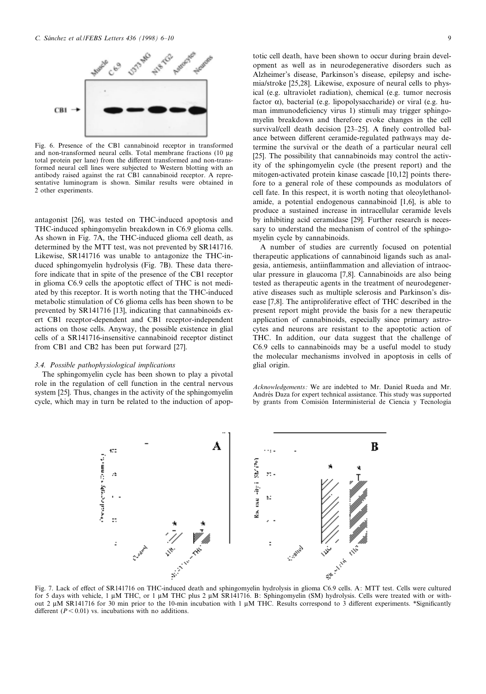

Fig. 6. Presence of the CB1 cannabinoid receptor in transformed and non-transformed neural cells. Total membrane fractions (10 µg total protein per lane) from the different transformed and non-transformed neural cell lines were subjected to Western blotting with an antibody raised against the rat CB1 cannabinoid receptor. A representative luminogram is shown. Similar results were obtained in 2 other experiments.

antagonist [26], was tested on THC-induced apoptosis and THC-induced sphingomyelin breakdown in C6.9 glioma cells. As shown in Fig. 7A, the THC-induced glioma cell death, as determined by the MTT test, was not prevented by SR141716. Likewise, SR141716 was unable to antagonize the THC-induced sphingomyelin hydrolysis (Fig. 7B). These data therefore indicate that in spite of the presence of the CB1 receptor in glioma C6.9 cells the apoptotic effect of THC is not mediated by this receptor. It is worth noting that the THC-induced metabolic stimulation of C6 glioma cells has been shown to be prevented by SR141716 [13], indicating that cannabinoids exert CB1 receptor-dependent and CB1 receptor-independent actions on those cells. Anyway, the possible existence in glial cells of a SR141716-insensitive cannabinoid receptor distinct from CB1 and CB2 has been put forward [27].

#### 3.4. Possible pathophysiological implications

The sphingomyelin cycle has been shown to play a pivotal role in the regulation of cell function in the central nervous system [25]. Thus, changes in the activity of the sphingomyelin cycle, which may in turn be related to the induction of apoptotic cell death, have been shown to occur during brain development as well as in neurodegenerative disorders such as Alzheimer's disease, Parkinson's disease, epilepsy and ischemia/stroke [25,28]. Likewise, exposure of neural cells to physical (e.g. ultraviolet radiation), chemical (e.g. tumor necrosis factor  $\alpha$ ), bacterial (e.g. lipopolysaccharide) or viral (e.g. human immunodeficiency virus 1) stimuli may trigger sphingomyelin breakdown and therefore evoke changes in the cell survival/cell death decision [23-25]. A finely controlled balance between different ceramide-regulated pathways may determine the survival or the death of a particular neural cell [25]. The possibility that cannabinoids may control the activity of the sphingomyelin cycle (the present report) and the mitogen-activated protein kinase cascade [10,12] points therefore to a general role of these compounds as modulators of cell fate. In this respect, it is worth noting that oleoylethanolamide, a potential endogenous cannabinoid [1,6], is able to produce a sustained increase in intracellular ceramide levels by inhibiting acid ceramidase [29]. Further research is necessary to understand the mechanism of control of the sphingomyelin cycle by cannabinoids.

A number of studies are currently focused on potential therapeutic applications of cannabinoid ligands such as analgesia, antiemesis, antiinflammation and alleviation of intraocular pressure in glaucoma [7,8]. Cannabinoids are also being tested as therapeutic agents in the treatment of neurodegenerative diseases such as multiple sclerosis and Parkinson's disease [7,8]. The antiproliferative effect of THC described in the present report might provide the basis for a new therapeutic application of cannabinoids, especially since primary astrocytes and neurons are resistant to the apoptotic action of THC. In addition, our data suggest that the challenge of C6.9 cells to cannabinoids may be a useful model to study the molecular mechanisms involved in apoptosis in cells of glial origin.

Acknowledgements: We are indebted to Mr. Daniel Rueda and Mr. Andrés Daza for expert technical assistance. This study was supported by grants from Comisión Interministerial de Ciencia y Tecnología



Fig. 7. Lack of effect of SR141716 on THC-induced death and sphingomyelin hydrolysis in glioma C6.9 cells. A: MTT test. Cells were cultured for 5 days with vehicle, 1  $\mu$ M THC, or 1  $\mu$ M THC plus 2  $\mu$ M SR141716. B: Sphingomyelin (SM) hydrolysis. Cells were treated with or without 2  $\mu$ M SR141716 for 30 min prior to the 10-min incubation with 1  $\mu$ M THC. Results correspond to 3 different experiments. \*Significantly different  $(P < 0.01)$  vs. incubations with no additions.